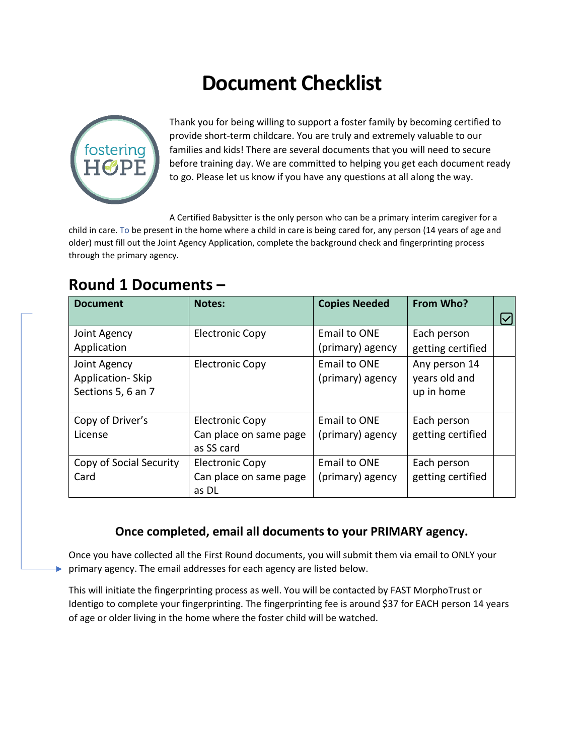# **Document Checklist**



 $\blacktriangleright$ 

Thank you for being willing to support a foster family by becoming certified to provide short-term childcare. You are truly and extremely valuable to our families and kids! There are several documents that you will need to secure before training day. We are committed to helping you get each document ready to go. Please let us know if you have any questions at all along the way.

A Certified Babysitter is the only person who can be a primary interim caregiver for a child in care. To be present in the home where a child in care is being cared for, any person (14 years of age and older) must fill out the Joint Agency Application, complete the background check and fingerprinting process through the primary agency.

| <b>Document</b>                                        | <b>Notes:</b>                                                  | <b>Copies Needed</b>                    | From Who?                                    |  |
|--------------------------------------------------------|----------------------------------------------------------------|-----------------------------------------|----------------------------------------------|--|
| Joint Agency<br>Application                            | <b>Electronic Copy</b>                                         | <b>Email to ONE</b><br>(primary) agency | Each person<br>getting certified             |  |
| Joint Agency<br>Application-Skip<br>Sections 5, 6 an 7 | <b>Electronic Copy</b>                                         | <b>Email to ONE</b><br>(primary) agency | Any person 14<br>years old and<br>up in home |  |
| Copy of Driver's<br>License                            | <b>Electronic Copy</b><br>Can place on same page<br>as SS card | <b>Email to ONE</b><br>(primary) agency | Each person<br>getting certified             |  |
| Copy of Social Security<br>Card                        | <b>Electronic Copy</b><br>Can place on same page<br>as DL      | <b>Email to ONE</b><br>(primary) agency | Each person<br>getting certified             |  |

### **Round 1 Documents –**

### **Once completed, email all documents to your PRIMARY agency.**

Once you have collected all the First Round documents, you will submit them via email to ONLY your primary agency. The email addresses for each agency are listed below.

This will initiate the fingerprinting process as well. You will be contacted by FAST MorphoTrust or Identigo to complete your fingerprinting. The fingerprinting fee is around \$37 for EACH person 14 years of age or older living in the home where the foster child will be watched.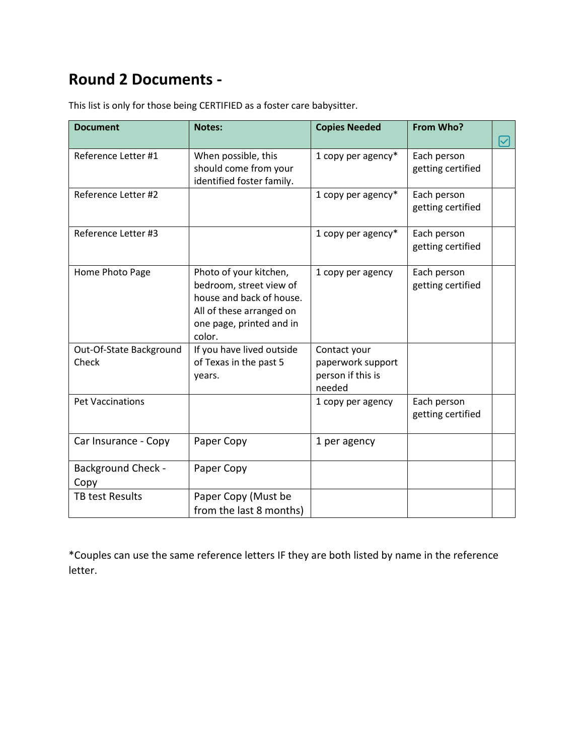## **Round 2 Documents -**

| <b>Document</b>                   | <b>Notes:</b>                                                                                                                                   | <b>Copies Needed</b>                                             | From Who?                        |  |
|-----------------------------------|-------------------------------------------------------------------------------------------------------------------------------------------------|------------------------------------------------------------------|----------------------------------|--|
| Reference Letter #1               | When possible, this<br>should come from your<br>identified foster family.                                                                       | 1 copy per agency*                                               | Each person<br>getting certified |  |
| Reference Letter #2               |                                                                                                                                                 | 1 copy per agency*                                               | Each person<br>getting certified |  |
| Reference Letter #3               |                                                                                                                                                 | 1 copy per agency*                                               | Each person<br>getting certified |  |
| Home Photo Page                   | Photo of your kitchen,<br>bedroom, street view of<br>house and back of house.<br>All of these arranged on<br>one page, printed and in<br>color. | 1 copy per agency                                                | Each person<br>getting certified |  |
| Out-Of-State Background<br>Check  | If you have lived outside<br>of Texas in the past 5<br>years.                                                                                   | Contact your<br>paperwork support<br>person if this is<br>needed |                                  |  |
| <b>Pet Vaccinations</b>           |                                                                                                                                                 | 1 copy per agency                                                | Each person<br>getting certified |  |
| Car Insurance - Copy              | Paper Copy                                                                                                                                      | 1 per agency                                                     |                                  |  |
| <b>Background Check -</b><br>Copy | Paper Copy                                                                                                                                      |                                                                  |                                  |  |
| <b>TB test Results</b>            | Paper Copy (Must be<br>from the last 8 months)                                                                                                  |                                                                  |                                  |  |

This list is only for those being CERTIFIED as a foster care babysitter.

\*Couples can use the same reference letters IF they are both listed by name in the reference letter.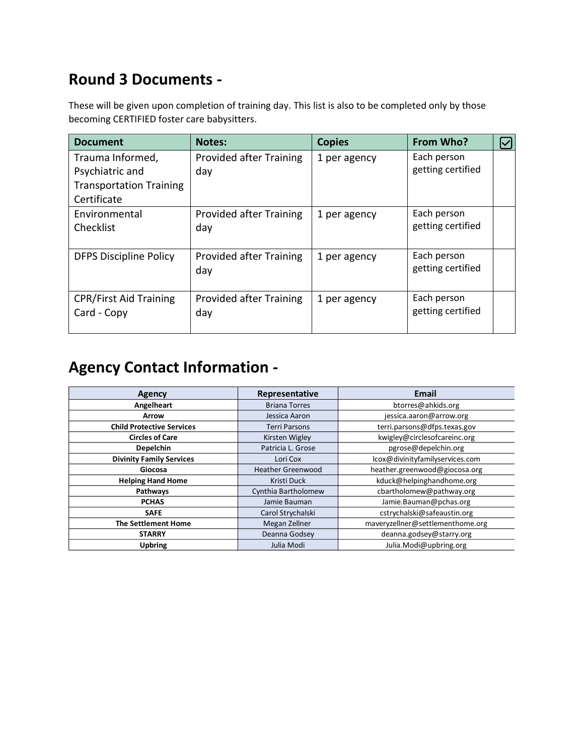## **Round 3 Documents -**

These will be given upon completion of training day. This list is also to be completed only by those becoming CERTIFIED foster care babysitters.

| <b>Document</b>                | <b>Notes:</b>                  | <b>Copies</b> | From Who?         |  |
|--------------------------------|--------------------------------|---------------|-------------------|--|
| Trauma Informed,               | <b>Provided after Training</b> | 1 per agency  | Each person       |  |
| Psychiatric and                | day                            |               | getting certified |  |
| <b>Transportation Training</b> |                                |               |                   |  |
| Certificate                    |                                |               |                   |  |
| Environmental                  | <b>Provided after Training</b> | 1 per agency  | Each person       |  |
| Checklist                      | day                            |               | getting certified |  |
|                                |                                |               |                   |  |
| <b>DFPS Discipline Policy</b>  | <b>Provided after Training</b> | 1 per agency  | Each person       |  |
|                                | day                            |               | getting certified |  |
|                                |                                |               |                   |  |
| <b>CPR/First Aid Training</b>  | <b>Provided after Training</b> | 1 per agency  | Each person       |  |
| Card - Copy                    | day                            |               | getting certified |  |
|                                |                                |               |                   |  |

## **Agency Contact Information -**

| Agency                           | Representative                              | <b>Email</b>                     |
|----------------------------------|---------------------------------------------|----------------------------------|
| Angelheart                       | <b>Briana Torres</b>                        | btorres@ahkids.org               |
| <b>Arrow</b>                     | Jessica Aaron                               | jessica.aaron@arrow.org          |
| <b>Child Protective Services</b> | <b>Terri Parsons</b>                        | terri.parsons@dfps.texas.gov     |
| <b>Circles of Care</b>           | Kirsten Wigley                              | kwigley@circlesofcareinc.org     |
| <b>Depelchin</b>                 | Patricia L. Grose                           | pgrose@depelchin.org             |
| <b>Divinity Family Services</b>  | lcox@divinityfamilyservices.com<br>Lori Cox |                                  |
| Giocosa                          | <b>Heather Greenwood</b>                    | heather.greenwood@giocosa.org    |
| <b>Helping Hand Home</b>         | Kristi Duck                                 | kduck@helpinghandhome.org        |
| Pathways                         | Cynthia Bartholomew                         | cbartholomew@pathway.org         |
| <b>PCHAS</b>                     | Jamie Bauman                                | Jamie.Bauman@pchas.org           |
| <b>SAFE</b>                      | Carol Strychalski                           | cstrychalski@safeaustin.org      |
| <b>The Settlement Home</b>       | Megan Zellner                               | maveryzellner@settlementhome.org |
| <b>STARRY</b>                    | Deanna Godsey                               | deanna.godsey@starry.org         |
| <b>Upbring</b>                   | Julia Modi                                  | Julia.Modi@upbring.org           |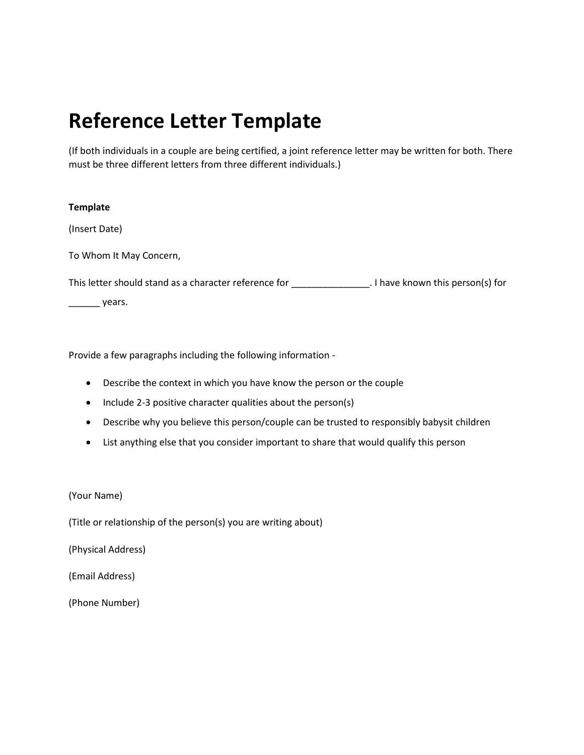## **Reference Letter Template**

(If both individuals in a couple are being certified, a joint reference letter may be written for both. There must be three different letters from three different individuals.)

#### **Template**

(Insert Date)

To Whom It May Concern,

This letter should stand as a character reference for \_\_\_\_\_\_\_\_\_\_\_\_\_\_\_\_. I have known this person(s) for

\_\_\_\_\_\_\_\_ years.

Provide a few paragraphs including the following information -

- Describe the context in which you have know the person or the couple
- Include 2-3 positive character qualities about the person(s)
- Describe why you believe this person/couple can be trusted to responsibly babysit children
- List anything else that you consider important to share that would qualify this person

(Your Name)

(Title or relationship of the person(s) you are writing about)

(Physical Address)

(Email Address)

(Phone Number)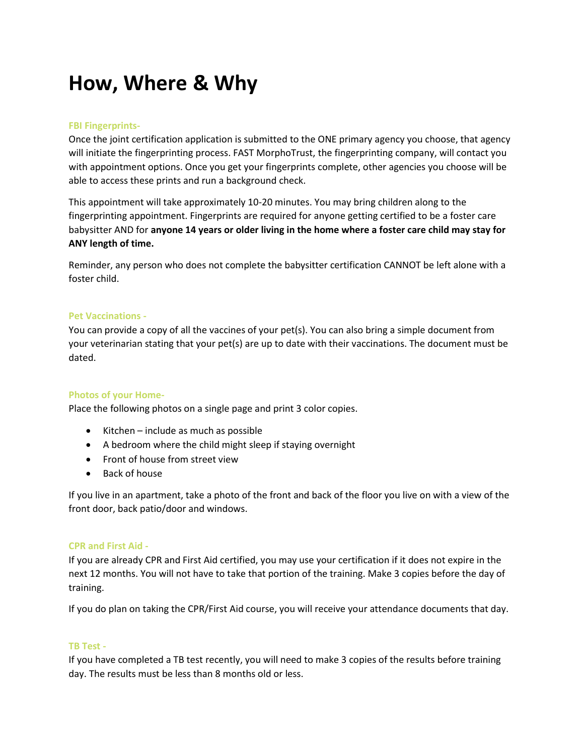## **How, Where & Why**

### **FBI Fingerprints-**

Once the joint certification application is submitted to the ONE primary agency you choose, that agency will initiate the fingerprinting process. FAST MorphoTrust, the fingerprinting company, will contact you with appointment options. Once you get your fingerprints complete, other agencies you choose will be able to access these prints and run a background check.

This appointment will take approximately 10-20 minutes. You may bring children along to the fingerprinting appointment. Fingerprints are required for anyone getting certified to be a foster care babysitter AND for **anyone 14 years or older living in the home where a foster care child may stay for ANY length of time.** 

Reminder, any person who does not complete the babysitter certification CANNOT be left alone with a foster child.

#### **Pet Vaccinations -**

You can provide a copy of all the vaccines of your pet(s). You can also bring a simple document from your veterinarian stating that your pet(s) are up to date with their vaccinations. The document must be dated.

### **Photos of your Home-**

Place the following photos on a single page and print 3 color copies.

- Kitchen include as much as possible
- A bedroom where the child might sleep if staying overnight
- Front of house from street view
- Back of house

If you live in an apartment, take a photo of the front and back of the floor you live on with a view of the front door, back patio/door and windows.

#### **CPR and First Aid -**

If you are already CPR and First Aid certified, you may use your certification if it does not expire in the next 12 months. You will not have to take that portion of the training. Make 3 copies before the day of training.

If you do plan on taking the CPR/First Aid course, you will receive your attendance documents that day.

### **TB Test -**

If you have completed a TB test recently, you will need to make 3 copies of the results before training day. The results must be less than 8 months old or less.